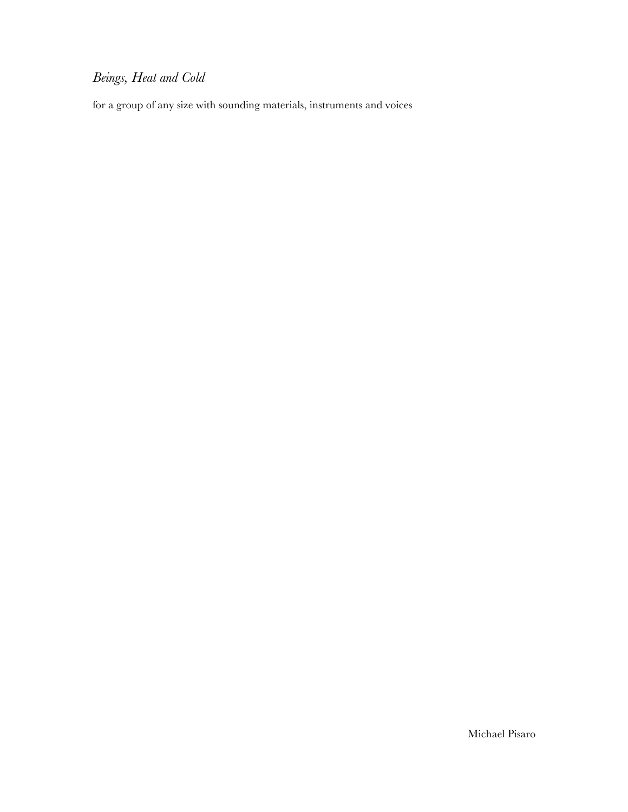# *Beings, Heat and Cold*

for a group of any size with sounding materials, instruments and voices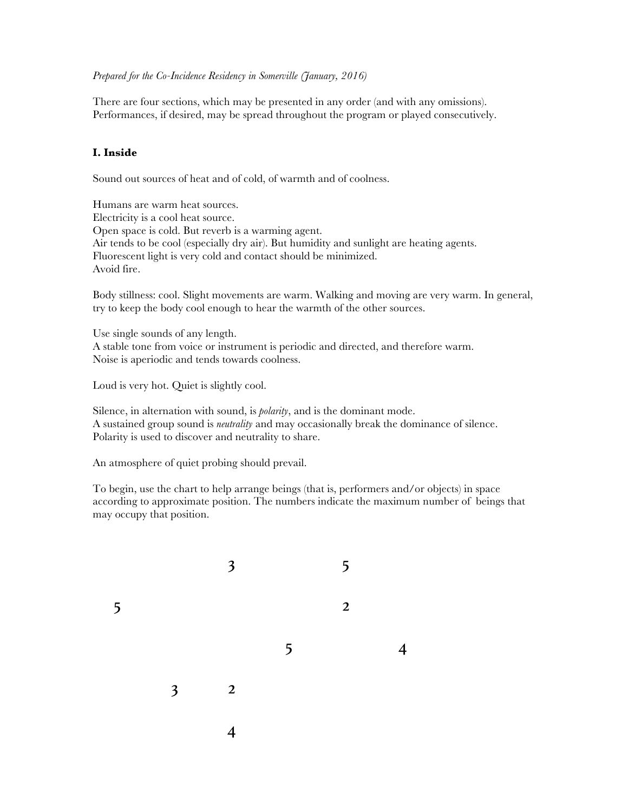#### *Prepared for the Co-Incidence Residency in Somerville (January, 2016)*

There are four sections, which may be presented in any order (and with any omissions). Performances, if desired, may be spread throughout the program or played consecutively.

### **I. Inside**

Sound out sources of heat and of cold, of warmth and of coolness.

Humans are warm heat sources. Electricity is a cool heat source. Open space is cold. But reverb is a warming agent. Air tends to be cool (especially dry air). But humidity and sunlight are heating agents. Fluorescent light is very cold and contact should be minimized. Avoid fire.

Body stillness: cool. Slight movements are warm. Walking and moving are very warm. In general, try to keep the body cool enough to hear the warmth of the other sources.

Use single sounds of any length. A stable tone from voice or instrument is periodic and directed, and therefore warm. Noise is aperiodic and tends towards coolness.

Loud is very hot. Quiet is slightly cool.

Silence, in alternation with sound, is *polarity*, and is the dominant mode. A sustained group sound is *neutrality* and may occasionally break the dominance of silence. Polarity is used to discover and neutrality to share.

An atmosphere of quiet probing should prevail.

To begin, use the chart to help arrange beings (that is, performers and/or objects) in space according to approximate position. The numbers indicate the maximum number of beings that may occupy that position.